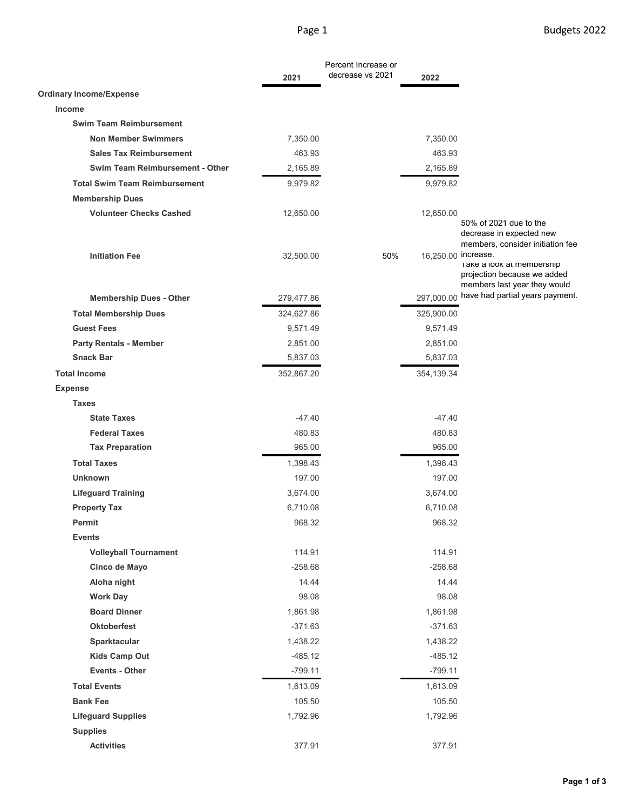|                                        |            | Percent Increase or |                     |                                                                                           |
|----------------------------------------|------------|---------------------|---------------------|-------------------------------------------------------------------------------------------|
|                                        | 2021       | decrease vs 2021    | 2022                |                                                                                           |
| <b>Ordinary Income/Expense</b>         |            |                     |                     |                                                                                           |
| Income                                 |            |                     |                     |                                                                                           |
| <b>Swim Team Reimbursement</b>         |            |                     |                     |                                                                                           |
| <b>Non Member Swimmers</b>             | 7,350.00   |                     | 7,350.00            |                                                                                           |
| <b>Sales Tax Reimbursement</b>         | 463.93     |                     | 463.93              |                                                                                           |
| <b>Swim Team Reimbursement - Other</b> | 2,165.89   |                     | 2,165.89            |                                                                                           |
| <b>Total Swim Team Reimbursement</b>   | 9,979.82   |                     | 9,979.82            |                                                                                           |
| <b>Membership Dues</b>                 |            |                     |                     |                                                                                           |
| <b>Volunteer Checks Cashed</b>         | 12,650.00  |                     | 12,650.00           | 50% of 2021 due to the<br>decrease in expected new<br>members, consider initiation fee    |
| <b>Initiation Fee</b>                  | 32,500.00  | 50%                 | 16,250.00 increase. | I ake a look at membership<br>projection because we added<br>members last year they would |
| <b>Membership Dues - Other</b>         | 279,477.86 |                     | 297,000.00          | have had partial years payment.                                                           |
| <b>Total Membership Dues</b>           | 324,627.86 |                     | 325,900.00          |                                                                                           |
| <b>Guest Fees</b>                      | 9,571.49   |                     | 9,571.49            |                                                                                           |
| <b>Party Rentals - Member</b>          | 2,851.00   |                     | 2,851.00            |                                                                                           |
| <b>Snack Bar</b>                       | 5,837.03   |                     | 5,837.03            |                                                                                           |
| <b>Total Income</b>                    | 352,867.20 |                     | 354,139.34          |                                                                                           |
| <b>Expense</b>                         |            |                     |                     |                                                                                           |
| <b>Taxes</b>                           |            |                     |                     |                                                                                           |
| <b>State Taxes</b>                     | $-47.40$   |                     | $-47.40$            |                                                                                           |
| <b>Federal Taxes</b>                   | 480.83     |                     | 480.83              |                                                                                           |
| <b>Tax Preparation</b>                 | 965.00     |                     | 965.00              |                                                                                           |
| <b>Total Taxes</b>                     | 1,398.43   |                     | 1,398.43            |                                                                                           |
| <b>Unknown</b>                         | 197.00     |                     | 197.00              |                                                                                           |
| <b>Lifeguard Training</b>              | 3,674.00   |                     | 3,674.00            |                                                                                           |
| <b>Property Tax</b>                    | 6,710.08   |                     | 6,710.08            |                                                                                           |
| Permit                                 | 968.32     |                     | 968.32              |                                                                                           |
| <b>Events</b>                          |            |                     |                     |                                                                                           |
| <b>Volleyball Tournament</b>           | 114.91     |                     | 114.91              |                                                                                           |
| Cinco de Mayo                          | $-258.68$  |                     | $-258.68$           |                                                                                           |
| Aloha night                            | 14.44      |                     | 14.44               |                                                                                           |
| <b>Work Day</b>                        | 98.08      |                     | 98.08               |                                                                                           |
| <b>Board Dinner</b>                    | 1,861.98   |                     | 1,861.98            |                                                                                           |
| <b>Oktoberfest</b>                     | $-371.63$  |                     | $-371.63$           |                                                                                           |
| Sparktacular                           | 1,438.22   |                     | 1,438.22            |                                                                                           |
| Kids Camp Out                          | $-485.12$  |                     | $-485.12$           |                                                                                           |
| Events - Other                         | $-799.11$  |                     | $-799.11$           |                                                                                           |
| <b>Total Events</b>                    | 1,613.09   |                     | 1,613.09            |                                                                                           |
| <b>Bank Fee</b>                        | 105.50     |                     | 105.50              |                                                                                           |
| <b>Lifeguard Supplies</b>              | 1,792.96   |                     | 1,792.96            |                                                                                           |
| <b>Supplies</b>                        |            |                     |                     |                                                                                           |
| <b>Activities</b>                      | 377.91     |                     | 377.91              |                                                                                           |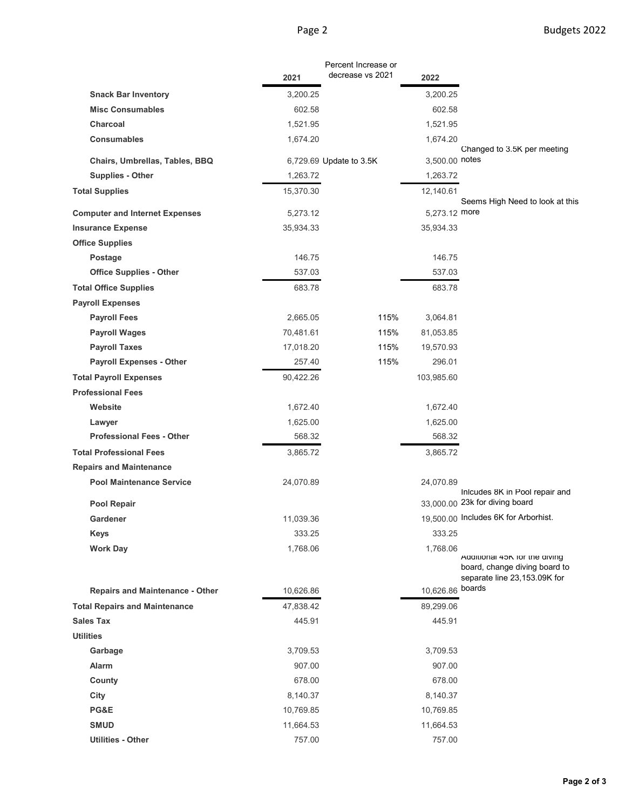|                                        |           | Percent Increase or<br>decrease vs 2021 |                |                                                                                                |
|----------------------------------------|-----------|-----------------------------------------|----------------|------------------------------------------------------------------------------------------------|
|                                        | 2021      |                                         | 2022           |                                                                                                |
| <b>Snack Bar Inventory</b>             | 3,200.25  |                                         | 3,200.25       |                                                                                                |
| <b>Misc Consumables</b>                | 602.58    |                                         | 602.58         |                                                                                                |
| Charcoal                               | 1,521.95  |                                         | 1,521.95       |                                                                                                |
| <b>Consumables</b>                     | 1,674.20  |                                         | 1,674.20       | Changed to 3.5K per meeting                                                                    |
| Chairs, Umbrellas, Tables, BBQ         |           | 6,729.69 Update to 3.5K                 | 3,500.00 notes |                                                                                                |
| <b>Supplies - Other</b>                | 1,263.72  |                                         | 1,263.72       |                                                                                                |
| <b>Total Supplies</b>                  | 15,370.30 |                                         | 12,140.61      |                                                                                                |
|                                        |           |                                         |                | Seems High Need to look at this                                                                |
| <b>Computer and Internet Expenses</b>  | 5,273.12  |                                         | 5,273.12 more  |                                                                                                |
| <b>Insurance Expense</b>               | 35,934.33 |                                         | 35,934.33      |                                                                                                |
| <b>Office Supplies</b>                 |           |                                         |                |                                                                                                |
| Postage                                | 146.75    |                                         | 146.75         |                                                                                                |
| <b>Office Supplies - Other</b>         | 537.03    |                                         | 537.03         |                                                                                                |
| <b>Total Office Supplies</b>           | 683.78    |                                         | 683.78         |                                                                                                |
| <b>Payroll Expenses</b>                |           |                                         |                |                                                                                                |
| <b>Payroll Fees</b>                    | 2,665.05  | 115%                                    | 3,064.81       |                                                                                                |
| <b>Payroll Wages</b>                   | 70,481.61 | 115%                                    | 81,053.85      |                                                                                                |
| <b>Payroll Taxes</b>                   | 17,018.20 | 115%                                    | 19,570.93      |                                                                                                |
| <b>Payroll Expenses - Other</b>        | 257.40    | 115%                                    | 296.01         |                                                                                                |
| <b>Total Payroll Expenses</b>          | 90,422.26 |                                         | 103,985.60     |                                                                                                |
| <b>Professional Fees</b>               |           |                                         |                |                                                                                                |
| Website                                | 1,672.40  |                                         | 1,672.40       |                                                                                                |
| Lawyer                                 | 1,625.00  |                                         | 1,625.00       |                                                                                                |
| <b>Professional Fees - Other</b>       | 568.32    |                                         | 568.32         |                                                                                                |
| <b>Total Professional Fees</b>         | 3,865.72  |                                         | 3,865.72       |                                                                                                |
| <b>Repairs and Maintenance</b>         |           |                                         |                |                                                                                                |
| <b>Pool Maintenance Service</b>        | 24,070.89 |                                         | 24,070.89      | Inlcudes 8K in Pool repair and<br>33,000.00 23k for diving board                               |
| Pool Repair                            |           |                                         |                |                                                                                                |
| Gardener                               | 11,039.36 |                                         |                | 19,500.00 Includes 6K for Arborhist.                                                           |
| Keys                                   | 333.25    |                                         | 333.25         |                                                                                                |
| <b>Work Day</b>                        | 1,768.06  |                                         | 1,768.06       | Additional 45N for the diving<br>board, change diving board to<br>separate line 23,153.09K for |
| <b>Repairs and Maintenance - Other</b> | 10,626.86 |                                         | 10,626.86      | boards                                                                                         |
| <b>Total Repairs and Maintenance</b>   | 47,838.42 |                                         | 89,299.06      |                                                                                                |
| <b>Sales Tax</b>                       | 445.91    |                                         | 445.91         |                                                                                                |
| <b>Utilities</b>                       |           |                                         |                |                                                                                                |
| Garbage                                | 3,709.53  |                                         | 3,709.53       |                                                                                                |
| Alarm                                  | 907.00    |                                         | 907.00         |                                                                                                |
| County                                 | 678.00    |                                         | 678.00         |                                                                                                |
| City                                   | 8,140.37  |                                         | 8,140.37       |                                                                                                |
| PG&E                                   | 10,769.85 |                                         | 10,769.85      |                                                                                                |
| <b>SMUD</b>                            | 11,664.53 |                                         | 11,664.53      |                                                                                                |
| <b>Utilities - Other</b>               | 757.00    |                                         | 757.00         |                                                                                                |